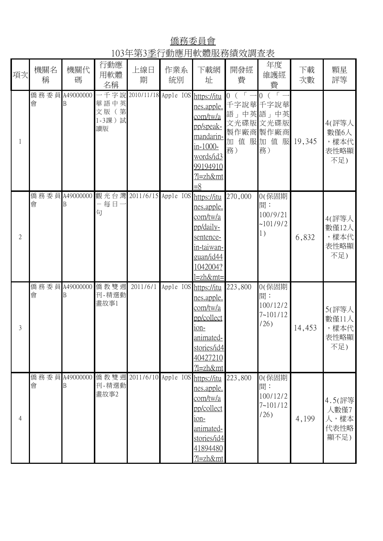僑務委員會 103年第3季行動應用軟體服務績效調查表

| 項次           | 機關名<br>稱 | 機關代<br>碼            | 行動應<br>用軟體<br>名稱                                                    | 上線日<br>期 | 作業系<br>統別                              | 下載網<br>址                                                                                                                        | 開發經<br>費             | 年度<br>維護經<br>費                                                           | 下載<br>次數 | 顆星<br>評等                               |
|--------------|----------|---------------------|---------------------------------------------------------------------|----------|----------------------------------------|---------------------------------------------------------------------------------------------------------------------------------|----------------------|--------------------------------------------------------------------------|----------|----------------------------------------|
| $\mathbf{1}$ | 會        | 僑務委員 A49000000<br>B | 華語中英<br>文版 (第<br>1-3課)試<br>讀版                                       |          | - 千字說 2010/11/18 Apple IOS https://itu | <u>nes.apple.</u><br>com/tw/a<br>pp/speak-<br>mandarin-<br><u>in-1000-</u><br>words/id3<br>99194910<br>?l=zh&mt<br>$=$ 8        | $\overline{0}$<br>務) | $\Omega$<br>千字說華千字說華<br>語」中英語」中英<br>文光碟版文光碟版<br>製作廠商製作廠商<br>加值服加值服<br>務) | 19,345   | 4(評等人<br>數僅6人<br>,樣本代<br>表性略顯<br>不足)   |
| $\mathbf{2}$ | 會        | B                   | 僑務委員A49000000 觀光台灣 2011/6/15 Apple IOS https://itu<br>一每日一<br>句     |          |                                        | <u>nes.apple.</u><br><u>com/tw/a</u><br>pp/daily-<br>sentence-<br><u>in-taiwan-</u><br><u>guan/id44</u><br>1042004?<br>l=zh&mt= | 270,000              | 0(保固期<br>間:<br>100/9/21<br>$-101/9/2$<br>$\left(1\right)$                | 6,832    | 4(評等人<br>數僅12人<br>,樣本代<br>表性略顯<br>不足)  |
| 3            | 會        | Β                   | 僑務委員 A49000000 僑教雙週<br>刊-精選動<br>畫故事1                                | 2011/6/1 | Apple IOS https://itu                  | <u>nes.apple.</u><br><u>com/tw/a</u><br>pp/collect<br><u>ion-</u><br><u>animated-</u><br>stories/id4<br>40427210<br>?l=zh&mt    | 223,800              | 0(保固期<br>間:<br>100/12/2<br>$7 - 101/12$<br>(26)                          | 14,453   | 5(評等人<br>數僅11人<br>,樣本代<br>表性略顯<br>不足)  |
| 4            | 會        | B                   | 僑務委員A49000000 僑教雙週 2011/6/10 Apple IOS https://itu<br>刊-精選動<br>畫故事2 |          |                                        | <u>nes.apple.</u><br>com/tw/a<br>pp/collect<br><u>ion-</u><br>animated-<br>stories/id4<br>41894480<br>?l=zh&mt                  | 223,800              | 0(保固期<br>間:<br>100/12/2<br>$7 - 101/12$<br>(26)                          | 4,199    | 4.5(評等<br>人數僅7<br>人,樣本<br>代表性略<br>顯不足) |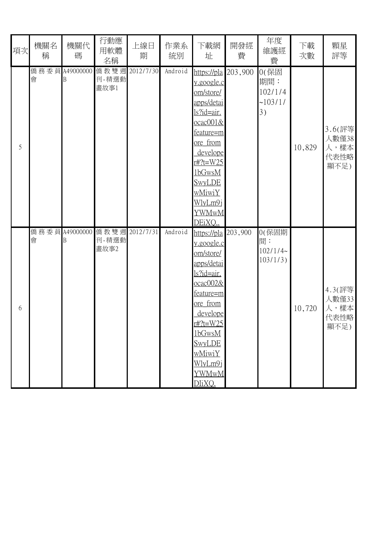| 項次 | 機關名<br>稱  | 機關代<br>碼       | 行動應<br>用軟體<br>名稱                | 上線日<br>期       | 作業系<br>統別 | 下載網<br>址                                                                                                                                                                                                                                     | 開發經<br>費 | 年度<br>維護經<br>費                            | 下載<br>次數 | 顆星<br>評等                                |
|----|-----------|----------------|---------------------------------|----------------|-----------|----------------------------------------------------------------------------------------------------------------------------------------------------------------------------------------------------------------------------------------------|----------|-------------------------------------------|----------|-----------------------------------------|
| 5  | 僑務委員<br>會 | A49000000<br>B | 刊-精選動<br>畫故事1                   | 僑教雙週 2012/7/30 | Android   | https://pla 203,900<br><u>v.google.c</u><br>om/store/<br>apps/detai<br><u>ls?id=air.</u><br>ocac001&<br><u>feature=m</u><br>ore from<br>develope<br>r#?t=W25<br>1bGwsM<br>SwyLDE<br>wMiwiY<br>WlyLm9j<br>YWMwM<br>DEiXO.                     |          | 0(保固<br>期間:<br>102/1/4<br>~103/1/<br>3)   | 10,829   | 3.6(評等<br>人數僅38<br>人,樣本<br>代表性略<br>顯不足) |
| 6  | 僑務委員<br>會 | A49000000<br>B | 僑教雙週 2012/7/31<br>刊-精選動<br>畫故事2 |                | Android   | https://pla $203,900$<br><u>v.google.c</u><br>om/store/<br>apps/detai<br><u>ls?id=air.</u><br>ocac002&<br><u>feature=m</u><br>ore from<br><u>develope</u><br>$r#?t = W25$<br>1bGwsM<br>SwyLDE<br>wMiwiY<br>WlyLm9j<br><u>YWMwM</u><br>DIiXQ. |          | 0(保固期<br>間:<br>$102/1/4$ ~<br>$103/1/3$ ) | 10,720   | 4.3(評等<br>人數僅33<br>人,樣本<br>代表性略<br>顯不足) |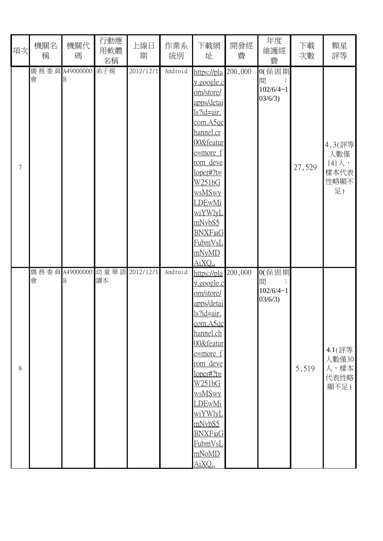| 項次 | 機關名<br>稱 | 機關代<br>碼                           | 行動應<br>用軟體<br>名稱 | 上線日<br>期  | 作業系<br>統別 | 下載網<br>址                                                                                                                                                                                                                                                                          | 開發經<br>費 | 年度<br>維護經<br>費                            | 下載<br>次數 | 顆星<br>評等                                              |
|----|----------|------------------------------------|------------------|-----------|-----------|-----------------------------------------------------------------------------------------------------------------------------------------------------------------------------------------------------------------------------------------------------------------------------------|----------|-------------------------------------------|----------|-------------------------------------------------------|
| 7  | 會        | 僑務委員 A49000000 弟子規<br>Β            |                  | 2012/12/1 | Android   | https://pla<br>y.google.c<br>om/store/<br>apps/detai<br>ls?id=air.<br>com.A5qc<br>hannel.cr<br>00&featur<br><u>e=more f</u><br><u>rom deve</u><br>loper#?t=<br><u>W251bG</u><br>wsMSwy<br><b>LDEwMi</b><br><u>wiYWlyL</u><br>mNvbS5<br><b>BNXFjaG</b><br>FubmVsL<br>mNyMD<br>AiXO | 200,000  | 0(保固期<br>間<br>$102/6/4 - 1$<br>03/6/3)    | 27,529   | 4.3(評等<br>人數僅<br>$141\lambda$ ,<br>樣本代表<br>性略顯不<br>足) |
| 8  | 會        | 僑務委員 A49000000 幼童華語 2012/12/1<br>Β | 讀本               |           | Android   | https://pla<br>y.google.c<br>om/store/<br>apps/detai<br>ls?id=air.<br>com.A5gc<br>hannel.ch<br>00&featur<br>e=more f<br>rom deve<br>$loper\#?t=$<br>W251bG<br>wsMSwy<br>LDEwMi<br>wiYWlyL<br>mNvbS5<br><b>BNXFjaG</b><br>FubmVsL<br>mNoMD<br><u>AiXQ</u>                          | 200,000  | $0$ (保固期<br>間<br>$102/6/4 - 1$<br>03/6/3) | 5,519    | 4.1(評等<br>人數僅30<br>人,樣本 <br>代表性略<br>顯不足)              |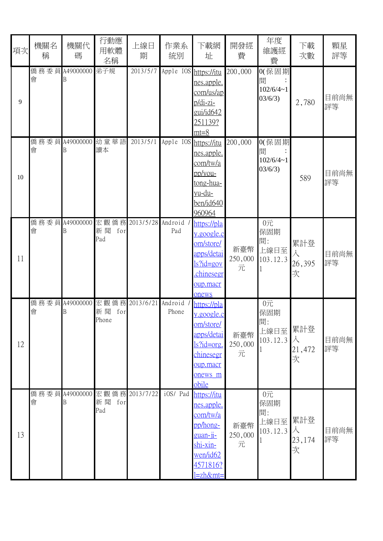| 項次 | 機關名<br>稱 | 機關代<br>碼                                     | 行動應<br>用軟體<br>名稱   | 上線日<br>期  | 作業系<br>統別             | 下載網<br>址                                                                                                                           | 開發經<br>費            | 年度<br>維護經<br>費                                           | 下載<br>次數                | 顆星<br>評等   |
|----|----------|----------------------------------------------|--------------------|-----------|-----------------------|------------------------------------------------------------------------------------------------------------------------------------|---------------------|----------------------------------------------------------|-------------------------|------------|
| 9  | 會        | 僑務委員 A49000000 弟子規<br>B                      |                    | 2013/5/7  | Apple IOS             | https://itu<br>nes.apple.<br>com/us/ap<br>p/di-zi-<br><u>eui/id642</u><br>251139?<br>$mt=8$                                        | 200,000             | $0$ (保固期<br>間<br>$102/6/4 - 1$<br>03/6/3)                | 2,780                   | 目前尚無<br>評等 |
| 10 | 會        | 僑務委員A49000000 幼童華語<br>B                      | 讀本                 | 2013/5/1  | Apple IOS https://itu | nes.apple.<br>com/tw/a<br>pp/you-<br>tong-hua-<br>yu-du-<br>ben/id640<br>960964                                                    | 200,000             | $0$ (保固期<br>間<br>$102/6/4 - 1$<br>03/6/3)                | 589                     | 目前尚無<br>評等 |
| 11 | 會        | 僑務委員 A49000000 宏觀僑務 2013/5/28 Android /<br>B | 新聞<br>for<br>Pad   |           | Pad                   | https://pla<br>y.google.c<br>om/store/<br>apps/detai<br><u>ls?id=gov</u><br>chinesegr.<br>oup.macr<br>onews                        | 新臺幣<br>250,000<br>元 | $0$ 元<br>保固期<br>間:<br>上線日至<br>103.12.3                   | 累計登<br>入<br>26,395<br>次 | 目前尚無<br>評等 |
| 12 | 會        | 僑務委員A49000000 宏觀僑務 2013/6/21<br>Β            | 新聞<br>for<br>Phone |           | Android /<br>Phone    | https://pla<br><u>y.google.c</u><br>om/store/<br>apps/detai<br><u>ls?id=org.</u><br>chinesegr<br>oup.macr<br>onews m<br>obile      | 新臺幣<br>250,000<br>元 | $0$ 元<br>保固期<br>間:<br>上線日至<br>103.12.3                   | 累計登<br>人<br>21,472<br>次 | 目前尚無<br>評等 |
| 13 | 會        | 僑務委員 A49000000 宏觀僑務<br>B                     | 新聞<br>for<br>Pad   | 2013/7/22 | iOS/ Pad              | https://itu<br><u>nes.apple.</u><br>com/tw/a<br>pp/hong-<br><u>guan-ji-</u><br><u>shi-xin-</u><br>wen/id62<br>4571816?<br>l=zh&mt= | 新臺幣<br>250,000<br>元 | $0\overrightarrow{\pi}$<br>保固期<br>間:<br>上線日至<br>103.12.3 | 累計登<br>人<br>23,174<br>次 | 目前尚無<br>評等 |